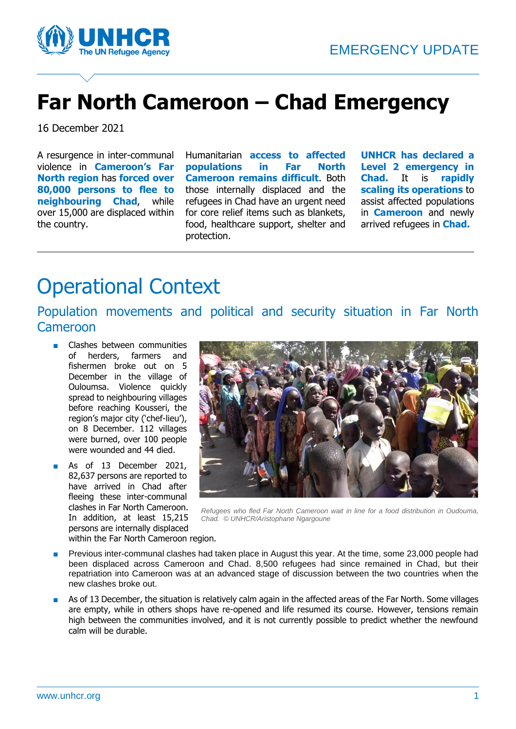

## **Far North Cameroon – Chad Emergency**

16 December 2021

A resurgence in inter-communal violence in **Cameroon's Far North region** has **forced over 80,000 persons to flee to neighbouring Chad**, while over 15,000 are displaced within the country.

Humanitarian **access to affected populations in Far North Cameroon remains difficult**. Both those internally displaced and the refugees in Chad have an urgent need for core relief items such as blankets, food, healthcare support, shelter and protection.

**UNHCR has declared a Level 2 emergency in Chad.** It is **rapidly scaling its operations** to assist affected populations in **Cameroon** and newly arrived refugees in **Chad.**

### Operational Context

Population movements and political and security situation in Far North Cameroon

- Clashes between communities of herders, farmers and fishermen broke out on 5 December in the village of Ouloumsa. Violence quickly spread to neighbouring villages before reaching Kousseri, the region's major city ('chef-lieu'), on 8 December. 112 villages were burned, over 100 people were wounded and 44 died.
- As of 13 December 2021, 82,637 persons are reported to have arrived in Chad after fleeing these inter-communal clashes in Far North Cameroon. In addition, at least 15,215 persons are internally displaced within the Far North Cameroon region.



*Refugees who fled Far North Cameroon wait in line for a food distribution in Oudouma, Chad. © UNHCR/Aristophane Ngargoune*

- Previous inter-communal clashes had taken place in August this year. At the time, some 23,000 people had been displaced across Cameroon and Chad. 8,500 refugees had since remained in Chad, but their repatriation into Cameroon was at an advanced stage of discussion between the two countries when the new clashes broke out.
- As of 13 December, the situation is relatively calm again in the affected areas of the Far North. Some villages are empty, while in others shops have re-opened and life resumed its course. However, tensions remain high between the communities involved, and it is not currently possible to predict whether the newfound calm will be durable.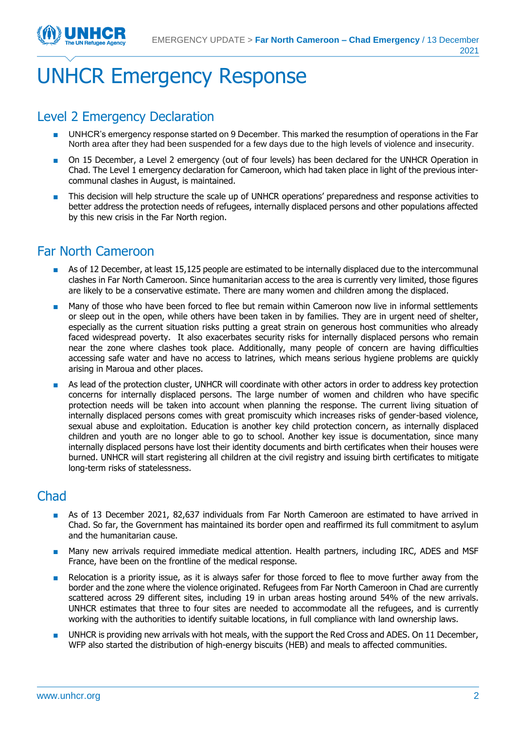# UNHCR Emergency Response

#### Level 2 Emergency Declaration

- UNHCR's emergency response started on 9 December. This marked the resumption of operations in the Far North area after they had been suspended for a few days due to the high levels of violence and insecurity.
- On 15 December, a Level 2 emergency (out of four levels) has been declared for the UNHCR Operation in Chad. The Level 1 emergency declaration for Cameroon, which had taken place in light of the previous intercommunal clashes in August, is maintained.
- This decision will help structure the scale up of UNHCR operations' preparedness and response activities to better address the protection needs of refugees, internally displaced persons and other populations affected by this new crisis in the Far North region.

### Far North Cameroon

- As of 12 December, at least 15,125 people are estimated to be internally displaced due to the intercommunal clashes in Far North Cameroon. Since humanitarian access to the area is currently very limited, those figures are likely to be a conservative estimate. There are many women and children among the displaced.
- Many of those who have been forced to flee but remain within Cameroon now live in informal settlements or sleep out in the open, while others have been taken in by families. They are in urgent need of shelter, especially as the current situation risks putting a great strain on generous host communities who already faced widespread poverty. It also exacerbates security risks for internally displaced persons who remain near the zone where clashes took place. Additionally, many people of concern are having difficulties accessing safe water and have no access to latrines, which means serious hygiene problems are quickly arising in Maroua and other places.
- As lead of the protection cluster, UNHCR will coordinate with other actors in order to address key protection concerns for internally displaced persons. The large number of women and children who have specific protection needs will be taken into account when planning the response. The current living situation of internally displaced persons comes with great promiscuity which increases risks of gender-based violence, sexual abuse and exploitation. Education is another key child protection concern, as internally displaced children and youth are no longer able to go to school. Another key issue is documentation, since many internally displaced persons have lost their identity documents and birth certificates when their houses were burned. UNHCR will start registering all children at the civil registry and issuing birth certificates to mitigate long-term risks of statelessness.

#### **Chad**

- As of 13 December 2021, 82,637 individuals from Far North Cameroon are estimated to have arrived in Chad. So far, the Government has maintained its border open and reaffirmed its full commitment to asylum and the humanitarian cause.
- Many new arrivals required immediate medical attention. Health partners, including IRC, ADES and MSF France, have been on the frontline of the medical response.
- Relocation is a priority issue, as it is always safer for those forced to flee to move further away from the border and the zone where the violence originated. Refugees from Far North Cameroon in Chad are currently scattered across 29 different sites, including 19 in urban areas hosting around 54% of the new arrivals. UNHCR estimates that three to four sites are needed to accommodate all the refugees, and is currently working with the authorities to identify suitable locations, in full compliance with land ownership laws.
- UNHCR is providing new arrivals with hot meals, with the support the Red Cross and ADES. On 11 December, WFP also started the distribution of high-energy biscuits (HEB) and meals to affected communities.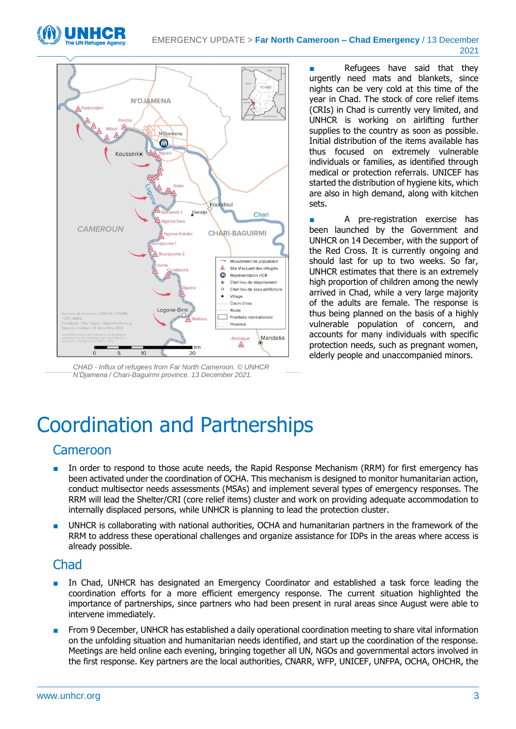



*CHAD - Influx of refugees from Far North Cameroon. © UNHCR N'Djamena / Chari-Baguirmi province. 13 December 2021.*

Refugees have said that they urgently need mats and blankets, since nights can be very cold at this time of the year in Chad. The stock of core relief items (CRIs) in Chad is currently very limited, and UNHCR is working on airlifting further supplies to the country as soon as possible. Initial distribution of the items available has thus focused on extremely vulnerable individuals or families, as identified through medical or protection referrals. UNICEF has started the distribution of hygiene kits, which are also in high demand, along with kitchen sets.

■ A pre-registration exercise has been launched by the Government and UNHCR on 14 December, with the support of the Red Cross. It is currently ongoing and should last for up to two weeks. So far, UNHCR estimates that there is an extremely high proportion of children among the newly arrived in Chad, while a very large majority of the adults are female. The response is thus being planned on the basis of a highly vulnerable population of concern, and accounts for many individuals with specific protection needs, such as pregnant women, elderly people and unaccompanied minors.

## Coordination and Partnerships

#### Cameroon

- In order to respond to those acute needs, the Rapid Response Mechanism (RRM) for first emergency has been activated under the coordination of OCHA. This mechanism is designed to monitor humanitarian action, conduct multisector needs assessments (MSAs) and implement several types of emergency responses. The RRM will lead the Shelter/CRI (core relief items) cluster and work on providing adequate accommodation to internally displaced persons, while UNHCR is planning to lead the protection cluster.
- UNHCR is collaborating with national authorities, OCHA and humanitarian partners in the framework of the RRM to address these operational challenges and organize assistance for IDPs in the areas where access is already possible.

#### Chad

- In Chad, UNHCR has designated an Emergency Coordinator and established a task force leading the coordination efforts for a more efficient emergency response. The current situation highlighted the importance of partnerships, since partners who had been present in rural areas since August were able to intervene immediately.
- From 9 December, UNHCR has established a daily operational coordination meeting to share vital information on the unfolding situation and humanitarian needs identified, and start up the coordination of the response. Meetings are held online each evening, bringing together all UN, NGOs and governmental actors involved in the first response. Key partners are the local authorities, CNARR, WFP, UNICEF, UNFPA, OCHA, OHCHR, the